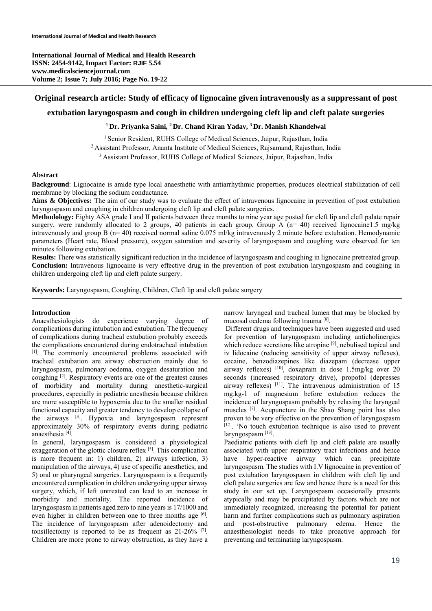**International Journal of Medical and Health Research ISSN: 2454-9142, Impact Factor: RJIF 5.54 www.medicalsciencejournal.com Volume 2; Issue 7; July 2016; Page No. 19-22** 

# **Original research article: Study of efficacy of lignocaine given intravenously as a suppressant of post**

# **extubation laryngospasm and cough in children undergoing cleft lip and cleft palate surgeries**

## **1 Dr. Priyanka Saini, 2 Dr. Chand Kiran Yadav, 3 Dr. Manish Khandelwal**

<sup>1</sup> Senior Resident, RUHS College of Medical Sciences, Jaipur, Rajasthan, India <sup>2</sup> Assistant Professor, Ananta Institute of Medical Sciences, Rajasmand, Rajasthan, India <sup>3</sup> Assistant Professor, RUHS College of Medical Sciences, Jaipur, Rajasthan, India

#### **Abstract**

**Background**: Lignocaine is amide type local anaesthetic with antiarrhythmic properties, produces electrical stabilization of cell membrane by blocking the sodium conductance.

Aims & Objectives: The aim of our study was to evaluate the effect of intravenous lignocaine in prevention of post extubation laryngospasm and coughing in children undergoing cleft lip and cleft palate surgeries.

**Methodology:** Eighty ASA grade I and II patients between three months to nine year age posted for cleft lip and cleft palate repair surgery, were randomly allocated to 2 groups, 40 patients in each group. Group A (n= 40) received lignocaine1.5 mg/kg intravenously and group B (n= 40) received normal saline 0.075 ml/kg intravenously 2 minute before extubation. Hemodynamic parameters (Heart rate, Blood pressure), oxygen saturation and severity of laryngospasm and coughing were observed for ten minutes following extubation.

**Results:** There was statistically significant reduction in the incidence of laryngospasm and coughing in lignocaine pretreated group. **Conclusion:** Intravenous lignocaine is very effective drug in the prevention of post extubation laryngospasm and coughing in children undergoing cleft lip and cleft palate surgery.

**Keywords:** Laryngospasm, Coughing, Children, Cleft lip and cleft palate surgery

### **Introduction**

Anaesthesiologists do experience varying degree of complications during intubation and extubation. The frequency of complications during tracheal extubation probably exceeds the complications encountered during endotracheal intubation [1]. The commonly encountered problems associated with tracheal extubation are airway obstruction mainly due to laryngospasm, pulmonary oedema, oxygen desaturation and coughing [2]. Respiratory events are one of the greatest causes of morbidity and mortality during anesthetic-surgical procedures, especially in pediatric anesthesia because children are more susceptible to hypoxemia due to the smaller residual functional capacity and greater tendency to develop collapse of the airways [3]. Hypoxia and laryngospasm represent approximately 30% of respiratory events during pediatric anaesthesia [4].

In general, laryngospasm is considered a physiological exaggeration of the glottic closure reflex  $[5]$ . This complication is more frequent in: 1) children, 2) airways infection, 3) manipulation of the airways, 4) use of specific anesthetics, and 5) oral or pharyngeal surgeries. Laryngospasm is a frequently encountered complication in children undergoing upper airway surgery, which, if left untreated can lead to an increase in morbidity and mortality. The reported incidence of laryngospasm in patients aged zero to nine years is 17/1000 and even higher in children between one to three months age [6]. The incidence of laryngospasm after adenoidectomy and tonsillectomy is reported to be as frequent as  $21-26\%$  [7]. Children are more prone to airway obstruction, as they have a narrow laryngeal and tracheal lumen that may be blocked by mucosal oedema following trauma [8].

 Different drugs and techniques have been suggested and used for prevention of laryngospasm including anticholinergics which reduce secretions like atropine [9], nebulised topical and iv lidocaine (reducing sensitivity of upper airway reflexes), cocaine, benzodiazepines like diazepam (decrease upper airway reflexes) [10], doxapram in dose 1.5mg/kg over 20 seconds (increased respiratory drive), propofol (depresses airway reflexes) [11]. The intravenous administration of 15 mg.kg-1 of magnesium before extubation reduces the incidence of laryngospasm probably by relaxing the laryngeal muscles [7]. Acupuncture in the Shao Shang point has also proven to be very effective on the prevention of laryngospasm [12]. 'No touch extubation technique is also used to prevent laryngospasm<sup>[13]</sup>.

Paediatric patients with cleft lip and cleft palate are usually associated with upper respiratory tract infections and hence have hyper-reactive airway which can precipitate laryngospasm. The studies with I.V lignocaine in prevention of post extubation laryngospasm in children with cleft lip and cleft palate surgeries are few and hence there is a need for this study in our set up. Laryngospasm occasionally presents atypically and may be precipitated by factors which are not immediately recognized, increasing the potential for patient harm and further complications such as pulmonary aspiration and post-obstructive pulmonary edema. Hence the anaesthesiologist needs to take proactive approach for preventing and terminating laryngospasm.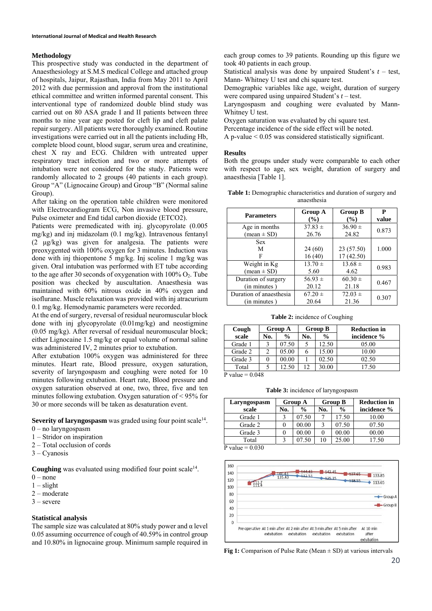### **Methodology**

This prospective study was conducted in the department of Anaesthesiology at S.M.S medical College and attached group of hospitals, Jaipur, Rajasthan, India from May 2011 to April 2012 with due permission and approval from the institutional ethical committee and written informed parental consent. This interventional type of randomized double blind study was carried out on 80 ASA grade I and II patients between three months to nine year age posted for cleft lip and cleft palate repair surgery. All patients were thoroughly examined. Routine investigations were carried out in all the patients including Hb, complete blood count, blood sugar, serum urea and creatinine, chest X ray and ECG. Children with untreated upper respiratory tract infection and two or more attempts of intubation were not considered for the study. Patients were randomly allocated to 2 groups (40 patients in each group). Group "A" (Lignocaine Group) and Group "B" (Normal saline Group).

After taking on the operation table children were monitored with Electrocardiogram ECG, Non invasive blood pressure, Pulse oximeter and End tidal carbon dioxide (ETCO2).

Patients were premedicated with inj. glycopyrolate (0.005 mg/kg) and inj midazolam (0.1 mg/kg). Intravenous fentanyl (2 μg/kg) was given for analgesia. The patients were preoxygented with 100% oxygen for 3 minutes. Induction was done with inj thiopentone 5 mg/kg. Inj scoline 1 mg/kg was given. Oral intubation was performed with ET tube according to the age after 30 seconds of oxygenation with  $100\%$  O<sub>2</sub>. Tube position was checked by auscultation. Anaesthesia was maintained with 60% nitrous oxide in 40% oxygen and isoflurane. Muscle relaxation was provided with inj atracurium 0.1 mg/kg. Hemodynamic parameters were recorded.

At the end of surgery, reversal of residual neuromuscular block done with inj glycopyrolate (0.01mg/kg) and neostigmine (0.05 mg/kg). After reversal of residual neuromuscular block; either Lignocaine 1.5 mg/kg or equal volume of normal saline was administered IV, 2 minutes prior to extubation.

After extubation 100% oxygen was administered for three minutes. Heart rate, Blood pressure, oxygen saturation, severity of laryngospasm and coughing were noted for 10 minutes following extubation. Heart rate, Blood pressure and oxygen saturation observed at one, two, three, five and ten minutes following extubation. Oxygen saturation of < 95% for 30 or more seconds will be taken as desaturation event.

**Severity of laryngospasm** was graded using four point scale<sup>14</sup>.

- 0 no laryngospasm
- 1 Stridor on inspiration
- 2 Total occlusion of cords
- 3 Cyanosis

**Coughing** was evaluated using modified four point scale<sup>14</sup>.

- $0$  none
- $1$  slight
- 2 moderate
- 3 severe

### **Statistical analysis**

The sample size was calculated at 80% study power and  $\alpha$  level 0.05 assuming occurrence of cough of 40.59% in control group and 10.80% in lignocaine group. Minimum sample required in each group comes to 39 patients. Rounding up this figure we took 40 patients in each group.

Statistical analysis was done by unpaired Student's *t* – test, Mann- Whitney U test and chi square test.

Demographic variables like age, weight, duration of surgery were compared using unpaired Student's *t* – test.

Laryngospasm and coughing were evaluated by Mann-Whitney U test.

Oxygen saturation was evaluated by chi square test.

Percentage incidence of the side effect will be noted.

A p-value < 0.05 was considered statistically significant.

#### **Results**

Both the groups under study were comparable to each other with respect to age, sex weight, duration of surgery and anaesthesia [Table 1].

| <b>Table 1:</b> Demographic characteristics and duration of surgery and |  |
|-------------------------------------------------------------------------|--|
| anaesthesia                                                             |  |

| <b>Parameters</b>             | <b>Group A</b>   | <b>Group B</b>          | P     |
|-------------------------------|------------------|-------------------------|-------|
|                               | $\frac{9}{6}$    | $($ %)                  | value |
| Age in months                 | $37.83 \pm$      | $36.90 \pm$             | 0.873 |
| $mean \pm SD$                 | 26.76            | 24.82                   |       |
| <b>Sex</b><br>M<br>F          | 24(60)<br>16(40) | 23 (57.50)<br>17(42.50) | 1.000 |
| Weight in Kg                  | $13.70 \pm$      | $13.68 \pm$             | 0.983 |
| $(\text{mean} \pm \text{SD})$ | 5.60             | 4.62                    |       |
| Duration of surgery           | $56.93 \pm$      | $60.30 \pm$             | 0.467 |
| (in minutes)                  | 20.12            | 21.18                   |       |
| Duration of anaesthesia       | $67.20 \pm$      | $72.03 \pm$             | 0.307 |
| (in minutes)                  | 20.64            | 21.36                   |       |

**Table 2:** incidence of Coughing

| Cough                |     | <b>Group A</b> | <b>Group B</b> |               | <b>Reduction in</b> |
|----------------------|-----|----------------|----------------|---------------|---------------------|
| scale                | No. | $\frac{0}{0}$  | No.            | $\frac{0}{0}$ | incidence %         |
| Grade 1              |     | 07.50          |                | 12.50         | 05.00               |
| Grade 2              |     | 05.00          |                | 15.00         | 10.00               |
| Grade 3              |     | 00.00          |                | 02.50         | 02.50               |
| Total                |     | 12.50          | 12             | 30.00         | 17.50               |
| $D_{v}$ alue – 0.048 |     |                |                |               |                     |

P value  $= 0.048$ 

**Table 3:** incidence of laryngospasm

| Laryngospasm                | <b>Group A</b> |               | <b>Group B</b> |               | <b>Reduction in</b> |  |
|-----------------------------|----------------|---------------|----------------|---------------|---------------------|--|
| scale                       | No.            | $\frac{0}{0}$ | No.            | $\frac{0}{0}$ | incidence %         |  |
| Grade 1                     |                | 07.50         |                | 17.50         | 10.00               |  |
| Grade 2                     |                | 00.00         |                | 07.50         | 07.50               |  |
| Grade 3                     |                | 00.00         |                | 00.00         | 00.00               |  |
| Total                       |                | 07.50         | 10             | 25.00         | 17.50               |  |
| $D_{v}$ and $D_{v} = 0.020$ |                |               |                |               |                     |  |

P value  $= 0.030$ 



**Fig 1:** Comparison of Pulse Rate (Mean  $\pm$  SD) at various intervals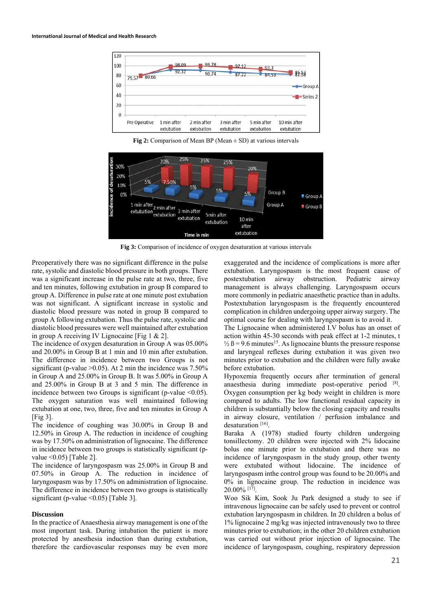

**Fig 2:** Comparison of Mean BP (Mean  $\pm$  SD) at various intervals



**Fig 3:** Comparison of incidence of oxygen desaturation at various intervals

Preoperatively there was no significant difference in the pulse rate, systolic and diastolic blood pressure in both groups. There was a significant increase in the pulse rate at two, three, five and ten minutes, following extubation in group B compared to group A. Difference in pulse rate at one minute post extubation was not significant. A significant increase in systolic and diastolic blood pressure was noted in group B compared to group A following extubation. Thus the pulse rate, systolic and diastolic blood pressures were well maintained after extubation in group A receiving IV Lignocaine [Fig 1 & 2].

The incidence of oxygen desaturation in Group A was 05.00% and 20.00% in Group B at 1 min and 10 min after extubation. The difference in incidence between two Groups is not significant (p-value  $>0.05$ ). At 2 min the incidence was 7.50% in Group A and 25.00% in Group B. It was 5.00% in Group A and 25.00% in Group B at 3 and 5 min. The difference in incidence between two Groups is significant (p-value  $\leq 0.05$ ). The oxygen saturation was well maintained following extubation at one, two, three, five and ten minutes in Group A  $[Fig 3]$ .

The incidence of coughing was 30.00% in Group B and 12.50% in Group A. The reduction in incidence of coughing was by 17.50% on administration of lignocaine. The difference in incidence between two groups is statistically significant (pvalue <0.05) [Table 2].

The incidence of laryngospasm was 25.00% in Group B and 07.50% in Group A. The reduction in incidence of laryngospasm was by 17.50% on administration of lignocaine. The difference in incidence between two groups is statistically significant (p-value < 0.05) [Table 3].

#### **Discussion**

In the practice of Anaesthesia airway management is one of the most important task. During intubation the patient is more protected by anesthesia induction than during extubation, therefore the cardiovascular responses may be even more

exaggerated and the incidence of complications is more after extubation. Laryngospasm is the most frequent cause of postextubation airway obstruction. Pediatric airway management is always challenging. Laryngospasm occurs more commonly in pediatric anaesthetic practice than in adults. Postextubation laryngospasm is the frequently encountered complication in children undergoing upper airway surgery. The optimal course for dealing with laryngospasm is to avoid it.

The Lignocaine when administered I.V bolus has an onset of action within 45-30 seconds with peak effect at 1-2 minutes, t  $\frac{1}{2}$  B = 9.6 minutes<sup>15</sup>. As lignocaine blunts the pressure response and laryngeal reflexes during extubation it was given two minutes prior to extubation and the children were fully awake before extubation.

Hypoxemia frequently occurs after termination of general anaesthesia during immediate post-operative period [8]. Oxygen consumption per kg body weight in children is more compared to adults. The low functional residual capacity in children is substantially below the closing capacity and results in airway closure, ventilation / perfusion imbalance and desaturation<sup>[16]</sup>.

Baraka A (1978) studied fourty children undergoing tonsillectomy. 20 children were injected with 2% lidocaine bolus one minute prior to extubation and there was no incidence of laryngospasm in the study group, other twenty were extubated without lidocaine. The incidence of laryngospasm inthe control group was found to be 20.00% and 0% in lignocaine group. The reduction in incidence was 20.00% [17].

Woo Sik Kim, Sook Ju Park designed a study to see if intravenous lignocaine can be safely used to prevent or control extubation laryngospasm in children. In 20 children a bolus of 1% lignocaine 2 mg/kg was injected intravenously two to three minutes prior to extubation; in the other 20 children extubation was carried out without prior injection of lignocaine. The incidence of laryngospasm, coughing, respiratory depression